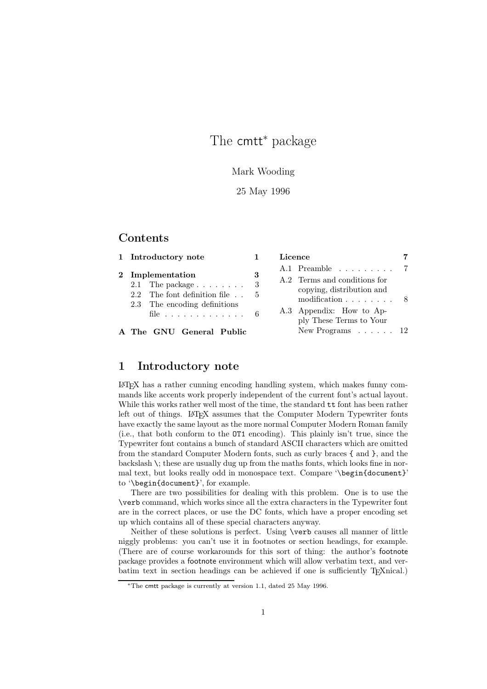## The cmtt<sup>\*</sup> package

### Mark Wooding

### 25 May 1996

## **Contents**

| 1 Introductory note                                                                                                                                                                         |          | Licence                                                                                                                                                                                                           |  |
|---------------------------------------------------------------------------------------------------------------------------------------------------------------------------------------------|----------|-------------------------------------------------------------------------------------------------------------------------------------------------------------------------------------------------------------------|--|
| 2 Implementation<br>2.1 The package $\ldots$<br>2.2 The font definition file $\ldots$ 5<br>2.3 The encoding definitions<br>file $\ldots \ldots \ldots \ldots 6$<br>A The GNU General Public | 3<br>- 3 | $A.1$ Preamble 7<br>A.2 Terms and conditions for<br>copying, distribution and<br>modification $\ldots$ , $\ldots$ , 8<br>A.3 Appendix: How to Ap-<br>ply These Terms to Your<br>New Programs $\ldots$ $\ldots$ 12 |  |
|                                                                                                                                                                                             |          |                                                                                                                                                                                                                   |  |

## 1 Introductory note

LATEX has a rather cunning encoding handling system, which makes funny commands like accents work properly independent of the current font's actual layout. While this works rather well most of the time, the standard tt font has been rather left out of things. LAT<sub>EX</sub> assumes that the Computer Modern Typewriter fonts have exactly the same layout as the more normal Computer Modern Roman family (i.e., that both conform to the OT1 encoding). This plainly isn't true, since the Typewriter font contains a bunch of standard ASCII characters which are omitted from the standard Computer Modern fonts, such as curly braces { and }, and the backslash \; these are usually dug up from the maths fonts, which looks fine in normal text, but looks really odd in monospace text. Compare '\begin{document}' to '\begin{document}', for example.

There are two possibilities for dealing with this problem. One is to use the \verb command, which works since all the extra characters in the Typewriter font are in the correct places, or use the DC fonts, which have a proper encoding set up which contains all of these special characters anyway.

Neither of these solutions is perfect. Using \verb causes all manner of little niggly problems: you can't use it in footnotes or section headings, for example. (There are of course workarounds for this sort of thing: the author's footnote package provides a footnote environment which will allow verbatim text, and verbatim text in section headings can be achieved if one is sufficiently T<sub>E</sub>Xnical.)

<sup>∗</sup>The cmtt package is currently at version 1.1, dated 25 May 1996.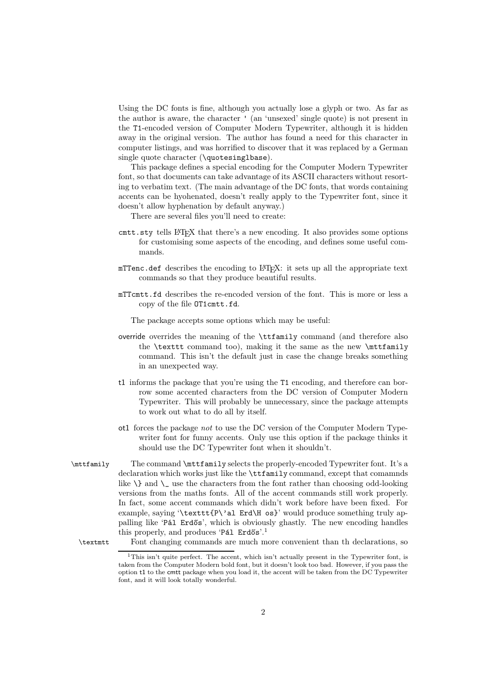Using the DC fonts is fine, although you actually lose a glyph or two. As far as the author is aware, the character ' (an 'unsexed' single quote) is not present in the T1-encoded version of Computer Modern Typewriter, although it is hidden away in the original version. The author has found a need for this character in computer listings, and was horrified to discover that it was replaced by a German single quote character (\quotesinglbase).

This package defines a special encoding for the Computer Modern Typewriter font, so that documents can take advantage of its ASCII characters without resorting to verbatim text. (The main advantage of the DC fonts, that words containing accents can be hyohenated, doesn't really apply to the Typewriter font, since it doesn't allow hyphenation by default anyway.)

There are several files you'll need to create:

- cmtt.sty tells LATEX that there's a new encoding. It also provides some options for customising some aspects of the encoding, and defines some useful commands.
- $m$ TTenc.def describes the encoding to  $\mathbb{F}$ T<sub>E</sub>X: it sets up all the appropriate text commands so that they produce beautiful results.
- mTTcmtt.fd describes the re-encoded version of the font. This is more or less a copy of the file OT1cmtt.fd.

The package accepts some options which may be useful:

- override overrides the meaning of the \ttfamily command (and therefore also the \texttt command too), making it the same as the new \mttfamily command. This isn't the default just in case the change breaks something in an unexpected way.
- t1 informs the package that you're using the T1 encoding, and therefore can borrow some accented characters from the DC version of Computer Modern Typewriter. This will probably be unnecessary, since the package attempts to work out what to do all by itself.
- ot1 forces the package *not* to use the DC version of the Computer Modern Typewriter font for funny accents. Only use this option if the package thinks it should use the DC Typewriter font when it shouldn't.
- \mttfamily The command \mttfamily selects the properly-encoded Typewriter font. It's a declaration which works just like the \ttfamily command, except that comamnds like  $\lambda$  and  $\lambda$  use the characters from the font rather than choosing odd-looking versions from the maths fonts. All of the accent commands still work properly. In fact, some accent commands which didn't work before have been fixed. For example, saying '\texttt{P\'al Erd\H os}' would produce something truly appalling like 'Pál Erdős', which is obviously ghastly. The new encoding handles this properly, and produces 'Pál Erdős'.<sup>1</sup>

\textmtt Font changing commands are much more convenient than th declarations, so

<sup>&</sup>lt;sup>1</sup>This isn't quite perfect. The accent, which isn't actually present in the Typewriter font, is taken from the Computer Modern bold font, but it doesn't look too bad. However, if you pass the option t1 to the cmtt package when you load it, the accent will be taken from the DC Typewriter font, and it will look totally wonderful.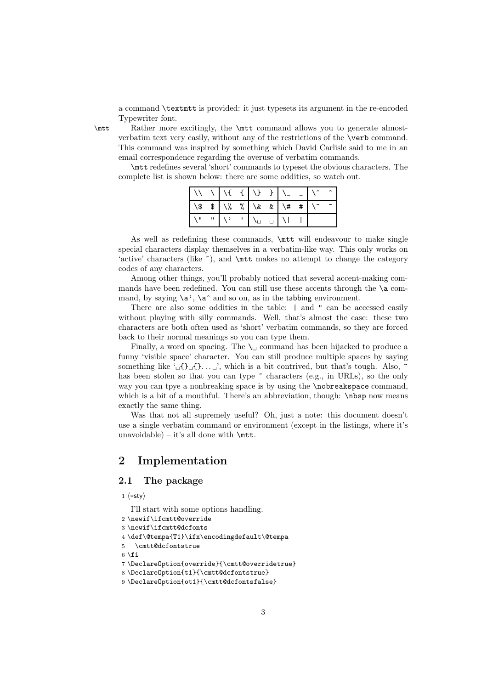a command \textmtt is provided: it just typesets its argument in the re-encoded Typewriter font.

\mtt Rather more excitingly, the \mtt command allows you to generate almostverbatim text very easily, without any of the restrictions of the \verb command. This command was inspired by something which David Carlisle said to me in an email correspondence regarding the overuse of verbatim commands.

\mtt redefines several 'short' commands to typeset the obvious characters. The complete list is shown below: there are some oddities, so watch out.

As well as redefining these commands, \mtt will endeavour to make single special characters display themselves in a verbatim-like way. This only works on 'active' characters (like  $\tilde{\ }$ ), and \mtt makes no attempt to change the category codes of any characters.

Among other things, you'll probably noticed that several accent-making commands have been redefined. You can still use these accents through the  $\a$  command, by saying  $\a', \a'$  and so on, as in the tabbing environment.

There are also some oddities in the table:  $|$  and " can be accessed easily without playing with silly commands. Well, that's almost the case: these two characters are both often used as 'short' verbatim commands, so they are forced back to their normal meanings so you can type them.

Finally, a word on spacing. The  $\setminus_{\square}$  command has been hijacked to produce a funny 'visible space' character. You can still produce multiple spaces by saying something like  $\Box$ {} $\Box$ {}... $\Box$ }, which is a bit contrived, but that's tough. Also,  $\tilde{\phantom{a}}$ has been stolen so that you can type  $\tilde{ }$  characters (e.g., in URLs), so the only way you can tpye a nonbreaking space is by using the \nobreakspace command, which is a bit of a mouthful. There's an abbreviation, though: \nbsp now means exactly the same thing.

Was that not all supremely useful? Oh, just a note: this document doesn't use a single verbatim command or environment (except in the listings, where it's unavoidable) – it's all done with  $\{\text{mtt}\}.$ 

## 2 Implementation

### 2.1 The package

1  $\langle *sty \rangle$ 

I'll start with some options handling.

- 2 \newif\ifcmtt@override
- 3 \newif\ifcmtt@dcfonts

```
4 \def\@tempa{T1}\ifx\encodingdefault\@tempa
```

```
5 \cmtt@dcfontstrue
```

```
6 \setminus fi
```
7 \DeclareOption{override}{\cmtt@overridetrue}

```
8 \DeclareOption{t1}{\cmtt@dcfontstrue}
```

```
9 \DeclareOption{ot1}{\cmtt@dcfontsfalse}
```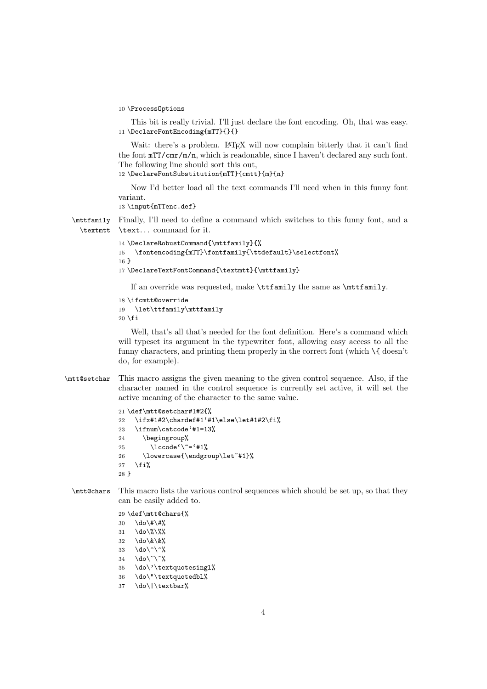```
10 \ProcessOptions
```
This bit is really trivial. I'll just declare the font encoding. Oh, that was easy. 11 \DeclareFontEncoding{mTT}{}{}

Wait: there's a problem. LATEX will now complain bitterly that it can't find the font mTT/cmr/m/n, which is readonable, since I haven't declared any such font. The following line should sort this out,

12 \DeclareFontSubstitution{mTT}{cmtt}{m}{n}

Now I'd better load all the text commands I'll need when in this funny font variant.

13 \input{mTTenc.def}

\mttfamily \textmtt Finally, I'll need to define a command which switches to this funny font, and a \text. . . command for it.

```
14 \DeclareRobustCommand{\mttfamily}{%
15 \fontencoding{mTT}\fontfamily{\ttdefault}\selectfont%
16 }
17 \DeclareTextFontCommand{\textmtt}{\mttfamily}
```
If an override was requested, make \ttfamily the same as \mttfamily.

```
18 \ifcmtt@override
19 \let\ttfamily\mttfamily
20 \fi
```
Well, that's all that's needed for the font definition. Here's a command which will typeset its argument in the typewriter font, allowing easy access to all the funny characters, and printing them properly in the correct font (which  $\setminus \{$  doesn't do, for example).

\mtt@setchar This macro assigns the given meaning to the given control sequence. Also, if the character named in the control sequence is currently set active, it will set the active meaning of the character to the same value.

```
21 \def\mtt@setchar#1#2{%
22 \ifx#1#2\chardef#1'#1\else\let#1#2\fi%
23 \ifnum\catcode'#1=13%
24 \begingroup%
25 \lccode'\~='#1%
26 \lowercase{\endgroup\let~#1}%
27 \fi%
28 }
```
\mtt@chars This macro lists the various control sequences which should be set up, so that they can be easily added to.

29 \def\mtt@chars{%

```
30 \dot{\text{4}} \do \# \#%
31 \do\%\%%
```
- 32 \do\&\&%
- 33 \do\^\^%
- $34 \text{ do}\text{-}\text{-}\text{%}$
- 35 \do\'\textquotesingl%
- 36 \do\"\textquotedbl%
- 37 \do\|\textbar%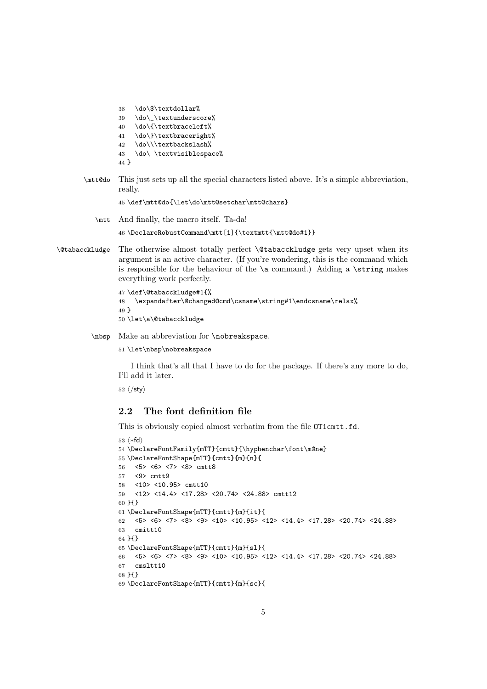```
38 \do\$\textdollar%
39 \do\_\textunderscore%
40 \do\{\textbraceleft%
41 \do\}\textbraceright%
42 \do\\\textbackslash%
43 \do\ \textvisiblespace%
44 }
```
\mtt@do This just sets up all the special characters listed above. It's a simple abbreviation, really.

\def\mtt@do{\let\do\mtt@setchar\mtt@chars}

\mtt And finally, the macro itself. Ta-da!

\DeclareRobustCommand\mtt[1]{\textmtt{\mtt@do#1}}

\@tabacckludge The otherwise almost totally perfect \@tabacckludge gets very upset when its argument is an active character. (If you're wondering, this is the command which is responsible for the behaviour of the  $\a$  command.) Adding a  $\string$  makes everything work perfectly.

```
47 \def\@tabacckludge#1{%
48 \expandafter\@changed@cmd\csname\string#1\endcsname\relax%
49 }
50 \let\a\@tabacckludge
```
\nbsp Make an abbreviation for \nobreakspace.

\let\nbsp\nobreakspace

I think that's all that I have to do for the package. If there's any more to do, I'll add it later.

 $\langle$ /sty $\rangle$ 

### 2.2 The font definition file

This is obviously copied almost verbatim from the file  $\text{OT1cm}$ t.fd.

```
53 \langle *fd \rangle54 \DeclareFontFamily{mTT}{cmtt}{\hyphenchar\font\m@ne}
55 \DeclareFontShape{mTT}{cmtt}{m}{n}{
56 <5> <6> <7> <8> cmtt8
57 <9> cmtt9
58 <10> <10.95> cmtt10
59 <12> <14.4> <17.28> <20.74> <24.88> cmtt12
60 }{}
61 \DeclareFontShape{mTT}{cmtt}{m}{it}{
62 <5> <6> <7> <8> <9> <10> <10.95> <12> <14.4> <17.28> <20.74> <24.88>
63 cmitt10
64 }{}
65 \DeclareFontShape{mTT}{cmtt}{m}{sl}{
66 <5> <6> <7> <8> <9> <10> <10.95> <12> <14.4> <17.28> <20.74> <24.88>
67 cmsltt10
68 }{}
69 \DeclareFontShape{mTT}{cmtt}{m}{sc}{
```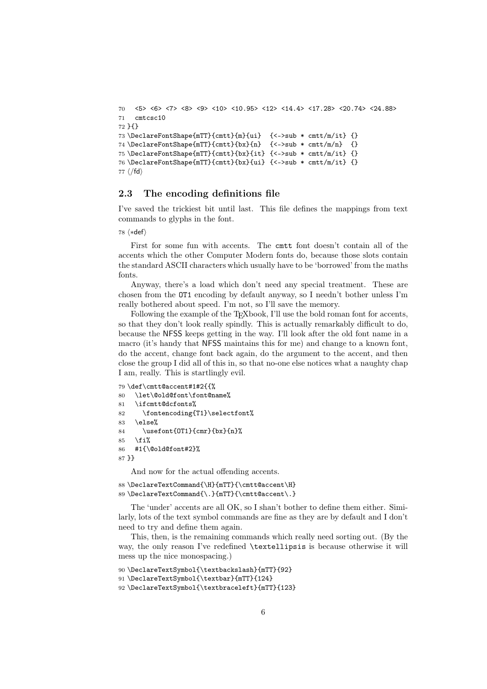```
70 <5> <6> <7> <8> <9> <10> <10.95> <12> <14.4> <17.28> <20.74> <24.88>
71 cmtcsc10
72 }{}
73 \DeclareFontShape{mTT}{cmtt}{m}{ui} {<->sub * cmtt/m/it} {}
74 \DeclareFontShape{mTT}{cmtt}{bx}{n} {<->sub * cmtt/m/n} {}
75 \DeclareFontShape{mTT}{cmtt}{bx}{it} {<->sub * cmtt/m/it} {}
76 \DeclareFontShape{mTT}{cmtt}{bx}{ui} {<->sub * cmtt/m/it} {}
77 \langle/fd\rangle
```
### 2.3 The encoding definitions file

I've saved the trickiest bit until last. This file defines the mappings from text commands to glyphs in the font.

 $78 \langle *def \rangle$ 

First for some fun with accents. The cmtt font doesn't contain all of the accents which the other Computer Modern fonts do, because those slots contain the standard ASCII characters which usually have to be 'borrowed' from the maths fonts.

Anyway, there's a load which don't need any special treatment. These are chosen from the OT1 encoding by default anyway, so I needn't bother unless I'm really bothered about speed. I'm not, so I'll save the memory.

Following the example of the T<sub>E</sub>Xbook, I'll use the bold roman font for accents, so that they don't look really spindly. This is actually remarkably difficult to do, because the NFSS keeps getting in the way. I'll look after the old font name in a macro (it's handy that NFSS maintains this for me) and change to a known font, do the accent, change font back again, do the argument to the accent, and then close the group I did all of this in, so that no-one else notices what a naughty chap I am, really. This is startlingly evil.

```
79 \def\cmtt@accent#1#2{{%
80 \let\@old@font\font@name%
81 \ifcmtt@dcfonts%
82 \fontencoding{T1}\selectfont%
83 \else%
84 \usefont{OT1}{cmr}{bx}{n}%
85 \fi%
86 #1{\@old@font#2}%
87 }}
```
And now for the actual offending accents.

```
88 \DeclareTextCommand{\H}{mTT}{\cmtt@accent\H}
89 \DeclareTextCommand{\.}{mTT}{\cmtt@accent\.}
```
The 'under' accents are all OK, so I shan't bother to define them either. Similarly, lots of the text symbol commands are fine as they are by default and I don't need to try and define them again.

This, then, is the remaining commands which really need sorting out. (By the way, the only reason I've redefined \textellipsis is because otherwise it will mess up the nice monospacing.)

```
90 \DeclareTextSymbol{\textbackslash}{mTT}{92}
91 \DeclareTextSymbol{\textbar}{mTT}{124}
92 \DeclareTextSymbol{\textbraceleft}{mTT}{123}
```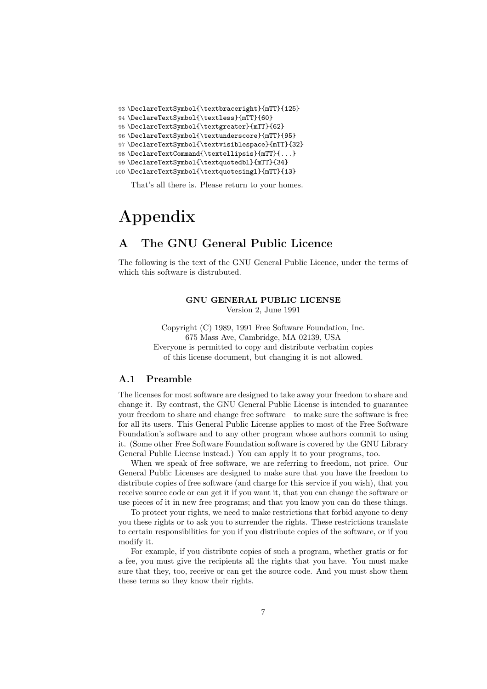```
93 \DeclareTextSymbol{\textbraceright}{mTT}{125}
94 \DeclareTextSymbol{\textless}{mTT}{60}
95 \DeclareTextSymbol{\textgreater}{mTT}{62}
96 \DeclareTextSymbol{\textunderscore}{mTT}{95}
97 \DeclareTextSymbol{\textvisiblespace}{mTT}{32}
98 \DeclareTextCommand{\textellipsis}{mTT}{...}
99 \DeclareTextSymbol{\textquotedbl}{mTT}{34}
100 \DeclareTextSymbol{\textquotesingl}{mTT}{13}
```
That's all there is. Please return to your homes.

# Appendix

## A The GNU General Public Licence

The following is the text of the GNU General Public Licence, under the terms of which this software is distrubuted.

## GNU GENERAL PUBLIC LICENSE

Version 2, June 1991

Copyright (C) 1989, 1991 Free Software Foundation, Inc. 675 Mass Ave, Cambridge, MA 02139, USA Everyone is permitted to copy and distribute verbatim copies of this license document, but changing it is not allowed.

### A.1 Preamble

The licenses for most software are designed to take away your freedom to share and change it. By contrast, the GNU General Public License is intended to guarantee your freedom to share and change free software—to make sure the software is free for all its users. This General Public License applies to most of the Free Software Foundation's software and to any other program whose authors commit to using it. (Some other Free Software Foundation software is covered by the GNU Library General Public License instead.) You can apply it to your programs, too.

When we speak of free software, we are referring to freedom, not price. Our General Public Licenses are designed to make sure that you have the freedom to distribute copies of free software (and charge for this service if you wish), that you receive source code or can get it if you want it, that you can change the software or use pieces of it in new free programs; and that you know you can do these things.

To protect your rights, we need to make restrictions that forbid anyone to deny you these rights or to ask you to surrender the rights. These restrictions translate to certain responsibilities for you if you distribute copies of the software, or if you modify it.

For example, if you distribute copies of such a program, whether gratis or for a fee, you must give the recipients all the rights that you have. You must make sure that they, too, receive or can get the source code. And you must show them these terms so they know their rights.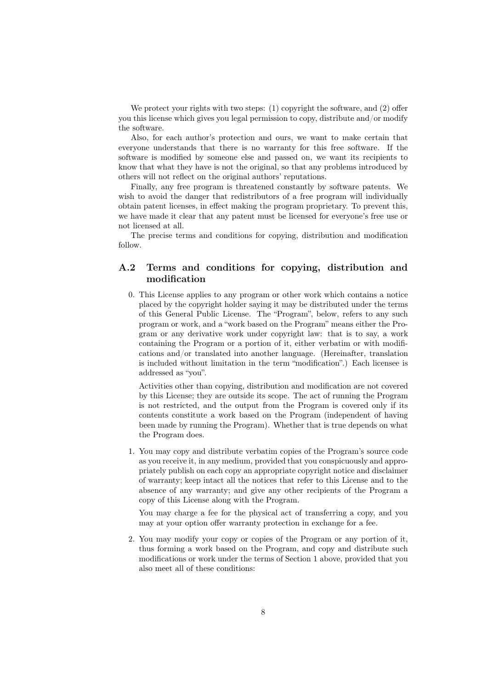We protect your rights with two steps: (1) copyright the software, and (2) offer you this license which gives you legal permission to copy, distribute and/or modify the software.

Also, for each author's protection and ours, we want to make certain that everyone understands that there is no warranty for this free software. If the software is modified by someone else and passed on, we want its recipients to know that what they have is not the original, so that any problems introduced by others will not reflect on the original authors' reputations.

Finally, any free program is threatened constantly by software patents. We wish to avoid the danger that redistributors of a free program will individually obtain patent licenses, in effect making the program proprietary. To prevent this, we have made it clear that any patent must be licensed for everyone's free use or not licensed at all.

The precise terms and conditions for copying, distribution and modification follow.

## A.2 Terms and conditions for copying, distribution and modification

0. This License applies to any program or other work which contains a notice placed by the copyright holder saying it may be distributed under the terms of this General Public License. The "Program", below, refers to any such program or work, and a "work based on the Program" means either the Program or any derivative work under copyright law: that is to say, a work containing the Program or a portion of it, either verbatim or with modifications and/or translated into another language. (Hereinafter, translation is included without limitation in the term "modification".) Each licensee is addressed as "you".

Activities other than copying, distribution and modification are not covered by this License; they are outside its scope. The act of running the Program is not restricted, and the output from the Program is covered only if its contents constitute a work based on the Program (independent of having been made by running the Program). Whether that is true depends on what the Program does.

1. You may copy and distribute verbatim copies of the Program's source code as you receive it, in any medium, provided that you conspicuously and appropriately publish on each copy an appropriate copyright notice and disclaimer of warranty; keep intact all the notices that refer to this License and to the absence of any warranty; and give any other recipients of the Program a copy of this License along with the Program.

You may charge a fee for the physical act of transferring a copy, and you may at your option offer warranty protection in exchange for a fee.

2. You may modify your copy or copies of the Program or any portion of it, thus forming a work based on the Program, and copy and distribute such modifications or work under the terms of Section 1 above, provided that you also meet all of these conditions: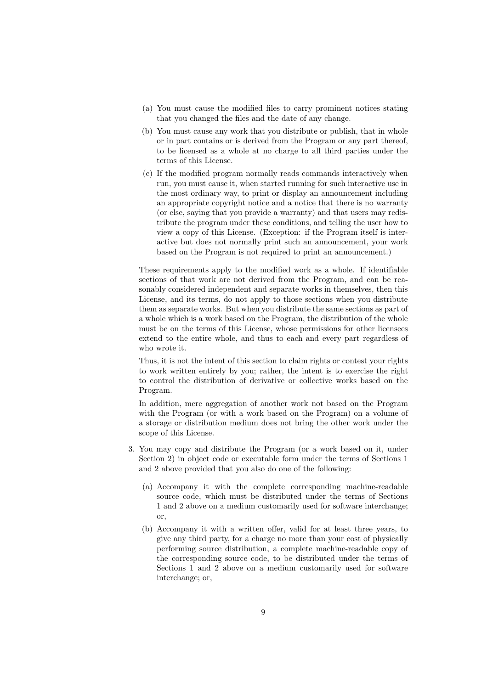- (a) You must cause the modified files to carry prominent notices stating that you changed the files and the date of any change.
- (b) You must cause any work that you distribute or publish, that in whole or in part contains or is derived from the Program or any part thereof, to be licensed as a whole at no charge to all third parties under the terms of this License.
- (c) If the modified program normally reads commands interactively when run, you must cause it, when started running for such interactive use in the most ordinary way, to print or display an announcement including an appropriate copyright notice and a notice that there is no warranty (or else, saying that you provide a warranty) and that users may redistribute the program under these conditions, and telling the user how to view a copy of this License. (Exception: if the Program itself is interactive but does not normally print such an announcement, your work based on the Program is not required to print an announcement.)

These requirements apply to the modified work as a whole. If identifiable sections of that work are not derived from the Program, and can be reasonably considered independent and separate works in themselves, then this License, and its terms, do not apply to those sections when you distribute them as separate works. But when you distribute the same sections as part of a whole which is a work based on the Program, the distribution of the whole must be on the terms of this License, whose permissions for other licensees extend to the entire whole, and thus to each and every part regardless of who wrote it.

Thus, it is not the intent of this section to claim rights or contest your rights to work written entirely by you; rather, the intent is to exercise the right to control the distribution of derivative or collective works based on the Program.

In addition, mere aggregation of another work not based on the Program with the Program (or with a work based on the Program) on a volume of a storage or distribution medium does not bring the other work under the scope of this License.

- 3. You may copy and distribute the Program (or a work based on it, under Section 2) in object code or executable form under the terms of Sections 1 and 2 above provided that you also do one of the following:
	- (a) Accompany it with the complete corresponding machine-readable source code, which must be distributed under the terms of Sections 1 and 2 above on a medium customarily used for software interchange; or,
	- (b) Accompany it with a written offer, valid for at least three years, to give any third party, for a charge no more than your cost of physically performing source distribution, a complete machine-readable copy of the corresponding source code, to be distributed under the terms of Sections 1 and 2 above on a medium customarily used for software interchange; or,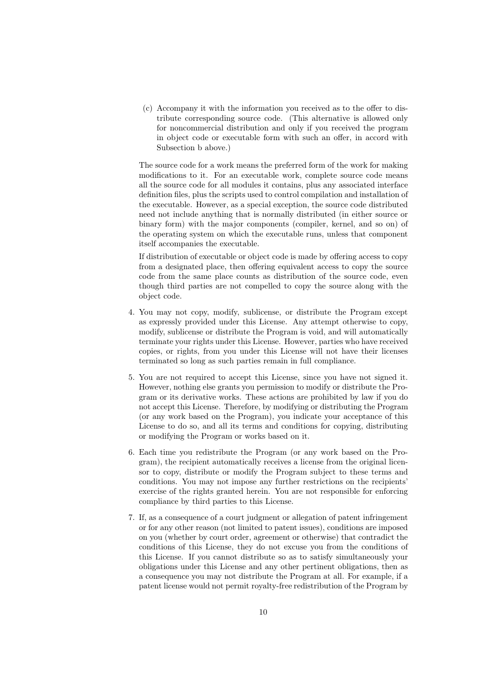(c) Accompany it with the information you received as to the offer to distribute corresponding source code. (This alternative is allowed only for noncommercial distribution and only if you received the program in object code or executable form with such an offer, in accord with Subsection b above.)

The source code for a work means the preferred form of the work for making modifications to it. For an executable work, complete source code means all the source code for all modules it contains, plus any associated interface definition files, plus the scripts used to control compilation and installation of the executable. However, as a special exception, the source code distributed need not include anything that is normally distributed (in either source or binary form) with the major components (compiler, kernel, and so on) of the operating system on which the executable runs, unless that component itself accompanies the executable.

If distribution of executable or object code is made by offering access to copy from a designated place, then offering equivalent access to copy the source code from the same place counts as distribution of the source code, even though third parties are not compelled to copy the source along with the object code.

- 4. You may not copy, modify, sublicense, or distribute the Program except as expressly provided under this License. Any attempt otherwise to copy, modify, sublicense or distribute the Program is void, and will automatically terminate your rights under this License. However, parties who have received copies, or rights, from you under this License will not have their licenses terminated so long as such parties remain in full compliance.
- 5. You are not required to accept this License, since you have not signed it. However, nothing else grants you permission to modify or distribute the Program or its derivative works. These actions are prohibited by law if you do not accept this License. Therefore, by modifying or distributing the Program (or any work based on the Program), you indicate your acceptance of this License to do so, and all its terms and conditions for copying, distributing or modifying the Program or works based on it.
- 6. Each time you redistribute the Program (or any work based on the Program), the recipient automatically receives a license from the original licensor to copy, distribute or modify the Program subject to these terms and conditions. You may not impose any further restrictions on the recipients' exercise of the rights granted herein. You are not responsible for enforcing compliance by third parties to this License.
- 7. If, as a consequence of a court judgment or allegation of patent infringement or for any other reason (not limited to patent issues), conditions are imposed on you (whether by court order, agreement or otherwise) that contradict the conditions of this License, they do not excuse you from the conditions of this License. If you cannot distribute so as to satisfy simultaneously your obligations under this License and any other pertinent obligations, then as a consequence you may not distribute the Program at all. For example, if a patent license would not permit royalty-free redistribution of the Program by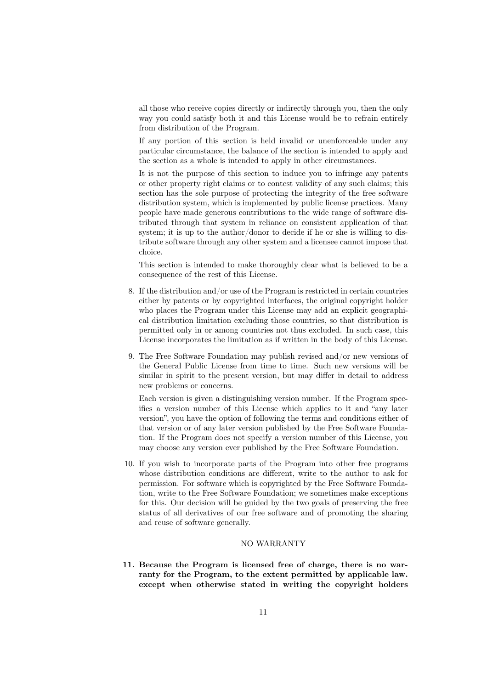all those who receive copies directly or indirectly through you, then the only way you could satisfy both it and this License would be to refrain entirely from distribution of the Program.

If any portion of this section is held invalid or unenforceable under any particular circumstance, the balance of the section is intended to apply and the section as a whole is intended to apply in other circumstances.

It is not the purpose of this section to induce you to infringe any patents or other property right claims or to contest validity of any such claims; this section has the sole purpose of protecting the integrity of the free software distribution system, which is implemented by public license practices. Many people have made generous contributions to the wide range of software distributed through that system in reliance on consistent application of that system; it is up to the author/donor to decide if he or she is willing to distribute software through any other system and a licensee cannot impose that choice.

This section is intended to make thoroughly clear what is believed to be a consequence of the rest of this License.

- 8. If the distribution and/or use of the Program is restricted in certain countries either by patents or by copyrighted interfaces, the original copyright holder who places the Program under this License may add an explicit geographical distribution limitation excluding those countries, so that distribution is permitted only in or among countries not thus excluded. In such case, this License incorporates the limitation as if written in the body of this License.
- 9. The Free Software Foundation may publish revised and/or new versions of the General Public License from time to time. Such new versions will be similar in spirit to the present version, but may differ in detail to address new problems or concerns.

Each version is given a distinguishing version number. If the Program specifies a version number of this License which applies to it and "any later version", you have the option of following the terms and conditions either of that version or of any later version published by the Free Software Foundation. If the Program does not specify a version number of this License, you may choose any version ever published by the Free Software Foundation.

10. If you wish to incorporate parts of the Program into other free programs whose distribution conditions are different, write to the author to ask for permission. For software which is copyrighted by the Free Software Foundation, write to the Free Software Foundation; we sometimes make exceptions for this. Our decision will be guided by the two goals of preserving the free status of all derivatives of our free software and of promoting the sharing and reuse of software generally.

#### NO WARRANTY

11. Because the Program is licensed free of charge, there is no warranty for the Program, to the extent permitted by applicable law. except when otherwise stated in writing the copyright holders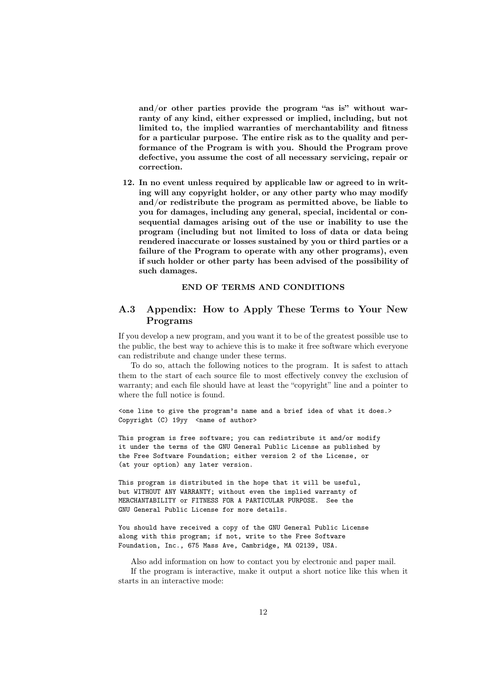and/or other parties provide the program "as is" without warranty of any kind, either expressed or implied, including, but not limited to, the implied warranties of merchantability and fitness for a particular purpose. The entire risk as to the quality and performance of the Program is with you. Should the Program prove defective, you assume the cost of all necessary servicing, repair or correction.

12. In no event unless required by applicable law or agreed to in writing will any copyright holder, or any other party who may modify and/or redistribute the program as permitted above, be liable to you for damages, including any general, special, incidental or consequential damages arising out of the use or inability to use the program (including but not limited to loss of data or data being rendered inaccurate or losses sustained by you or third parties or a failure of the Program to operate with any other programs), even if such holder or other party has been advised of the possibility of such damages.

### END OF TERMS AND CONDITIONS

## A.3 Appendix: How to Apply These Terms to Your New Programs

If you develop a new program, and you want it to be of the greatest possible use to the public, the best way to achieve this is to make it free software which everyone can redistribute and change under these terms.

To do so, attach the following notices to the program. It is safest to attach them to the start of each source file to most effectively convey the exclusion of warranty; and each file should have at least the "copyright" line and a pointer to where the full notice is found.

<one line to give the program's name and a brief idea of what it does.> Copyright (C) 19yy <name of author>

This program is free software; you can redistribute it and/or modify it under the terms of the GNU General Public License as published by the Free Software Foundation; either version 2 of the License, or (at your option) any later version.

This program is distributed in the hope that it will be useful, but WITHOUT ANY WARRANTY; without even the implied warranty of MERCHANTABILITY or FITNESS FOR A PARTICULAR PURPOSE. See the GNU General Public License for more details.

You should have received a copy of the GNU General Public License along with this program; if not, write to the Free Software Foundation, Inc., 675 Mass Ave, Cambridge, MA 02139, USA.

Also add information on how to contact you by electronic and paper mail. If the program is interactive, make it output a short notice like this when it starts in an interactive mode: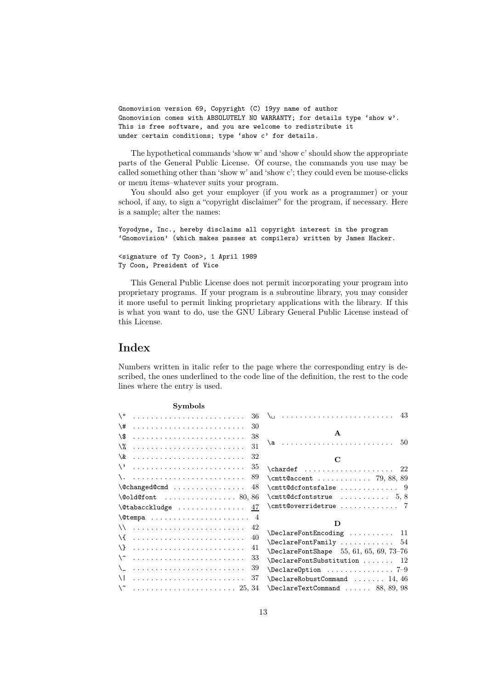```
Gnomovision version 69, Copyright (C) 19yy name of author
Gnomovision comes with ABSOLUTELY NO WARRANTY; for details type 'show w'.
This is free software, and you are welcome to redistribute it
under certain conditions; type 'show c' for details.
```
The hypothetical commands 'show w' and 'show c' should show the appropriate parts of the General Public License. Of course, the commands you use may be called something other than 'show w' and 'show c'; they could even be mouse-clicks or menu items–whatever suits your program.

You should also get your employer (if you work as a programmer) or your school, if any, to sign a "copyright disclaimer" for the program, if necessary. Here is a sample; alter the names:

```
Yoyodyne, Inc., hereby disclaims all copyright interest in the program
'Gnomovision' (which makes passes at compilers) written by James Hacker.
<signature of Ty Coon>, 1 April 1989
Ty Coon, President of Vice
```
This General Public License does not permit incorporating your program into proprietary programs. If your program is a subroutine library, you may consider it more useful to permit linking proprietary applications with the library. If this is what you want to do, use the GNU Library General Public License instead of this License.

## Index

Numbers written in italic refer to the page where the corresponding entry is described, the ones underlined to the code line of the definition, the rest to the code lines where the entry is used.

| <b>Symbols</b>                                                                                                                                                                                                                                                                                                                                                                                                         |                                                        |
|------------------------------------------------------------------------------------------------------------------------------------------------------------------------------------------------------------------------------------------------------------------------------------------------------------------------------------------------------------------------------------------------------------------------|--------------------------------------------------------|
| $\setminus$ "<br>36                                                                                                                                                                                                                                                                                                                                                                                                    | 43                                                     |
| $\backslash$ #<br>30                                                                                                                                                                                                                                                                                                                                                                                                   |                                                        |
| 38<br>\\$                                                                                                                                                                                                                                                                                                                                                                                                              | A                                                      |
| \%<br>31                                                                                                                                                                                                                                                                                                                                                                                                               | $\a$ 50                                                |
| 32<br>\&                                                                                                                                                                                                                                                                                                                                                                                                               | $\mathbf C$                                            |
| $\setminus$<br>35                                                                                                                                                                                                                                                                                                                                                                                                      | $\lambda$ chardef  22                                  |
| \.<br>89                                                                                                                                                                                                                                                                                                                                                                                                               | \cmtt@accent  79, 88, 89                               |
| 48                                                                                                                                                                                                                                                                                                                                                                                                                     | $\{\text{Cmtt@dcfontsfalse}\dots\dots\dots\dots 9\}$   |
| $\delta$ . $\delta$ . $\delta$ . $\delta$ . $\delta$ . $\delta$ . $\delta$ . $\delta$ . $\delta$ . $\delta$ . $\delta$ . $\delta$ . $\delta$ . $\delta$ . $\delta$ . $\delta$ . $\delta$ . $\delta$ . $\delta$ . $\delta$ . $\delta$ . $\delta$ . $\delta$ . $\delta$ . $\delta$ . $\delta$ . $\delta$ . $\delta$ . $\delta$ . $\delta$ . $\delta$ . $\delta$ . $\delta$ . $\delta$ . $\delta$ . $\delta$ . $\delta$ . | $\{\text{Cmtt@dcfontstrue} \dots \dots \dots \ 5, 8\}$ |
| $\delta$ \@tabacckludge<br>47                                                                                                                                                                                                                                                                                                                                                                                          | \cmtt@overridetrue  7                                  |
|                                                                                                                                                                                                                                                                                                                                                                                                                        |                                                        |
| 42                                                                                                                                                                                                                                                                                                                                                                                                                     | D                                                      |
| \{<br>40                                                                                                                                                                                                                                                                                                                                                                                                               | \DeclareFontEncoding  11                               |
|                                                                                                                                                                                                                                                                                                                                                                                                                        | $\Delta$ DeclareFontFamily  54                         |
| $\lambda$<br>41                                                                                                                                                                                                                                                                                                                                                                                                        | $\Delta$ reFontShape 55, 61, 65, 69, 73-76             |
| $\backslash$ $\hat{\phantom{a}}$<br>33                                                                                                                                                                                                                                                                                                                                                                                 | $\Delta$ PeclareFontSubstitution  12                   |
| 39<br>$\setminus$                                                                                                                                                                                                                                                                                                                                                                                                      |                                                        |
| $\overline{1}$<br>37                                                                                                                                                                                                                                                                                                                                                                                                   | $\Delta$ 14, 46                                        |
| $\mathcal{N}$                                                                                                                                                                                                                                                                                                                                                                                                          | $\Delta$ PeclareTextCommand  88, 89, 98                |